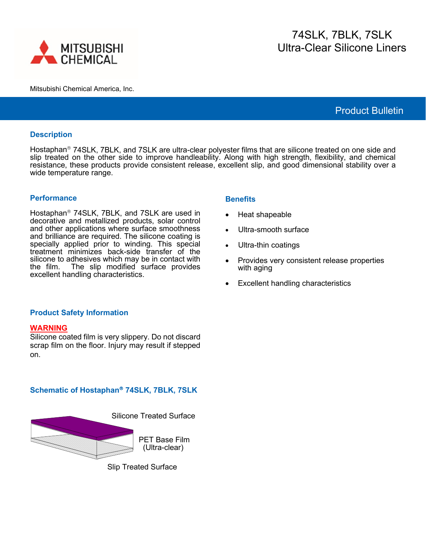

#### Mitsubishi Chemical America, Inc.

# 74SLK, 7BLK, 7SLK Ultra-Clear Silicone Liners

Product Bulletin

#### **Description**

Hostaphan<sup>®</sup> 74SLK, 7BLK, and 7SLK are ultra-clear polyester films that are silicone treated on one side and slip treated on the other side to improve handleability. Along with high strength, flexibility, and chemical resistance, these products provide consistent release, excellent slip, and good dimensional stability over a wide temperature range.

#### **Performance**

Hostaphan<sup>®</sup> 74SLK, 7BLK, and 7SLK are used in decorative and metallized products, solar control and other applications where surface smoothness and brilliance are required. The silicone coating is specially applied prior to winding. This special treatment minimizes back-side transfer of the silicone to adhesives which may be in contact with the film. The slip modified surface provides excellent handling characteristics.

### **Benefits**

- Heat shapeable
- Ultra-smooth surface
- Ultra-thin coatings
- Provides very consistent release properties with aging
- Excellent handling characteristics

### **Product Safety Information**

### **WARNING**

Silicone coated film is very slippery. Do not discard scrap film on the floor. Injury may result if stepped on.

## **Schematic of Hostaphan 74SLK, 7BLK, 7SLK**



Slip Treated Surface